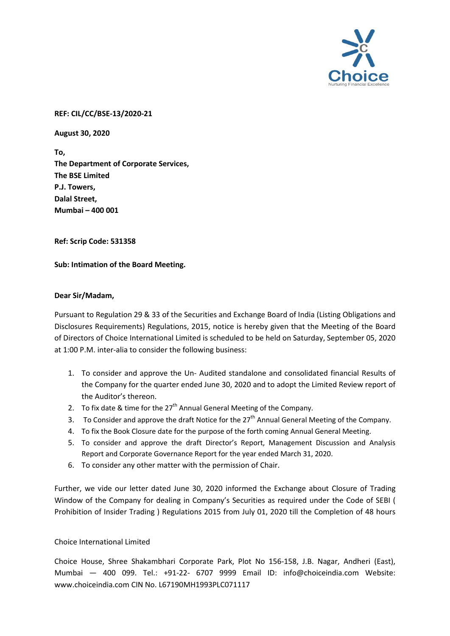

## **REF: CIL/CC/BSE-13/2020-21**

**August 30, 2020**

**To, The Department of Corporate Services, The BSE Limited P.J. Towers, Dalal Street, Mumbai – 400 001**

**Ref: Scrip Code: 531358**

**Sub: Intimation of the Board Meeting.**

## **Dear Sir/Madam,**

Pursuant to Regulation 29 & 33 of the Securities and Exchange Board of India (Listing Obligations and Disclosures Requirements) Regulations, 2015, notice is hereby given that the Meeting of the Board of Directors of Choice International Limited is scheduled to be held on Saturday, September 05, 2020 at 1:00 P.M. inter-alia to consider the following business:

- 1. To consider and approve the Un- Audited standalone and consolidated financial Results of the Company for the quarter ended June 30, 2020 and to adopt the Limited Review report of the Auditor's thereon.
- 2. To fix date & time for the  $27<sup>th</sup>$  Annual General Meeting of the Company.
- 3. To Consider and approve the draft Notice for the  $27<sup>th</sup>$  Annual General Meeting of the Company.
- 4. To fix the Book Closure date for the purpose of the forth coming Annual General Meeting.
- 5. To consider and approve the draft Director's Report, Management Discussion and Analysis Report and Corporate Governance Report for the year ended March 31, 2020.
- 6. To consider any other matter with the permission of Chair.

Further, we vide our letter dated June 30, 2020 informed the Exchange about Closure of Trading Window of the Company for dealing in Company's Securities as required under the Code of SEBI ( Prohibition of Insider Trading ) Regulations 2015 from July 01, 2020 till the Completion of 48 hours

## Choice International Limited

Choice House, Shree Shakambhari Corporate Park, Plot No 156-158, J.B. Nagar, Andheri (East), Mumbai — 400 099. Tel.: +91-22- 6707 9999 Email ID: info@choiceindia.com Website: www.choiceindia.com CIN No. L67190MH1993PLC071117